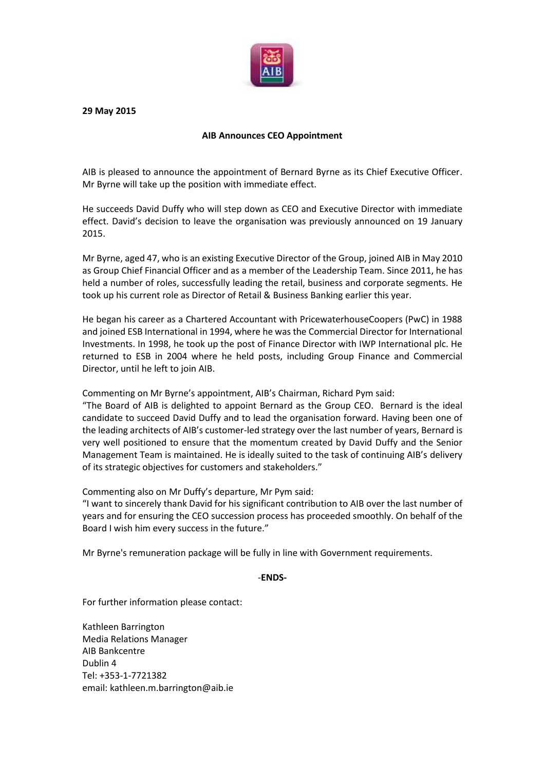

**29 May 2015**

## **AIB Announces CEO Appointment**

AIB is pleased to announce the appointment of Bernard Byrne as its Chief Executive Officer. Mr Byrne will take up the position with immediate effect.

He succeeds David Duffy who will step down as CEO and Executive Director with immediate effect. David's decision to leave the organisation was previously announced on 19 January 2015.

Mr Byrne, aged 47, who is an existing Executive Director of the Group, joined AIB in May 2010 as Group Chief Financial Officer and as a member of the Leadership Team. Since 2011, he has held a number of roles, successfully leading the retail, business and corporate segments. He took up his current role as Director of Retail & Business Banking earlier this year.

He began his career as a Chartered Accountant with PricewaterhouseCoopers (PwC) in 1988 and joined ESB International in 1994, where he was the Commercial Director for International Investments. In 1998, he took up the post of Finance Director with IWP International plc. He returned to ESB in 2004 where he held posts, including Group Finance and Commercial Director, until he left to join AIB.

Commenting on Mr Byrne's appointment, AIB's Chairman, Richard Pym said:

"The Board of AIB is delighted to appoint Bernard as the Group CEO. Bernard is the ideal candidate to succeed David Duffy and to lead the organisation forward. Having been one of the leading architects of AIB's customer-led strategy over the last number of years, Bernard is very well positioned to ensure that the momentum created by David Duffy and the Senior Management Team is maintained. He is ideally suited to the task of continuing AIB's delivery of its strategic objectives for customers and stakeholders."

Commenting also on Mr Duffy's departure, Mr Pym said:

"I want to sincerely thank David for his significant contribution to AIB over the last number of years and for ensuring the CEO succession process has proceeded smoothly. On behalf of the Board I wish him every success in the future."

Mr Byrne's remuneration package will be fully in line with Government requirements.

-**ENDS-**

For further information please contact:

Kathleen Barrington Media Relations Manager AIB Bankcentre Dublin 4 Tel: +353-1-7721382 email: kathleen.m.barrington@aib.ie